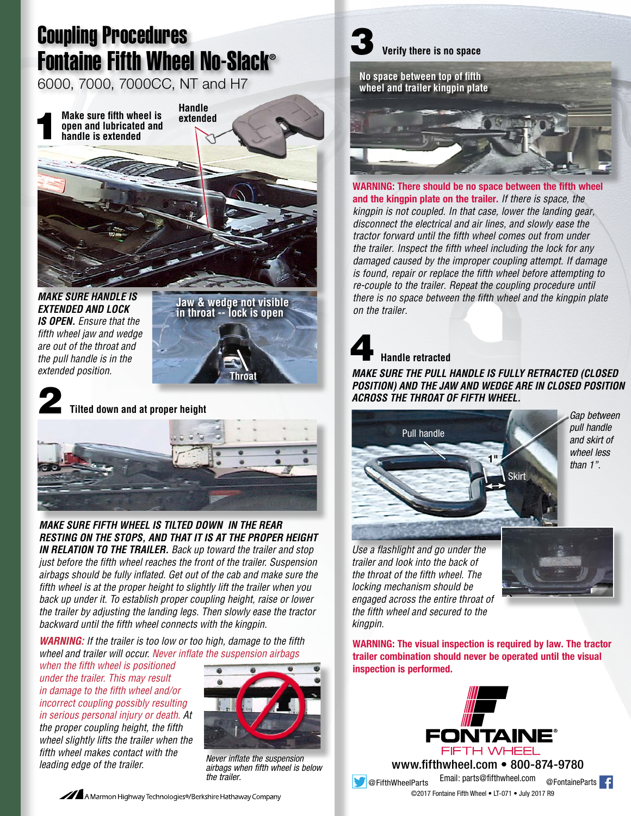## Coupling Procedures Fontaine Fifth Wheel No-Slack®

6000, 7000, 7000CC, NT and H7

1 **Handle Make sure fifth wheel is extended open and lubricated and handle is extended**

*MAKE SURE HANDLE IS EXTENDED AND LOCK IS OPEN. Ensure that the fifth wheel jaw and wedge are out of the throat and the pull handle is in the extended position.*

**Jaw & wedge not visible in throat -- lock is open**

**Throat**



2 **Tilted down and at proper height**



*MAKE SURE FIFTH WHEEL IS TILTED DOWN IN THE REAR RESTING ON THE STOPS, AND THAT IT IS AT THE PROPER HEIGHT IN RELATION TO THE TRAILER. Back up toward the trailer and stop just before the fifth wheel reaches the front of the trailer. Suspension airbags should be fully inflated. Get out of the cab and make sure the fifth wheel is at the proper height to slightly lift the trailer when you back up under it. To establish proper coupling height, raise or lower the trailer by adjusting the landing legs. Then slowly ease the tractor backward until the fifth wheel connects with the kingpin.*

*WARNING: If the trailer is too low or too high, damage to the fifth wheel and trailer will occur. Never inflate the suspension airbags* 

*when the fifth wheel is positioned under the trailer. This may result in damage to the fifth wheel and/or incorrect coupling possibly resulting in serious personal injury or death. At the proper coupling height, the fifth wheel slightly lifts the trailer when the fifth wheel makes contact with the leading edge of the trailer.*



*Never inflate the suspension airbags when fifth wheel is below the trailer.*

## 3 **Verify there is no space**



**WARNING: There should be no space between the fifth wheel and the kingpin plate on the trailer.** *If there is space, the kingpin is not coupled. In that case, lower the landing gear, disconnect the electrical and air lines, and slowly ease the tractor forward until the fifth wheel comes out from under the trailer. Inspect the fifth wheel including the lock for any damaged caused by the improper coupling attempt. If damage is found, repair or replace the fifth wheel before attempting to re-couple to the trailer. Repeat the coupling procedure until there is no space between the fifth wheel and the kingpin plate on the trailer.* 

## 4 **Handle retracted**

*MAKE SURE THE PULL HANDLE IS FULLY RETRACTED (CLOSED POSITION) AND THE JAW AND WEDGE ARE IN CLOSED POSITION ACROSS THE THROAT OF FIFTH WHEEL.*



*Gap between pull handle and skirt of wheel less than 1".*

*Use a flashlight and go under the trailer and look into the back of the throat of the fifth wheel. The locking mechanism should be engaged across the entire throat of the fifth wheel and secured to the* 



*kingpin.* **WARNING: The visual inspection is required by law. The tractor trailer combination should never be operated until the visual**